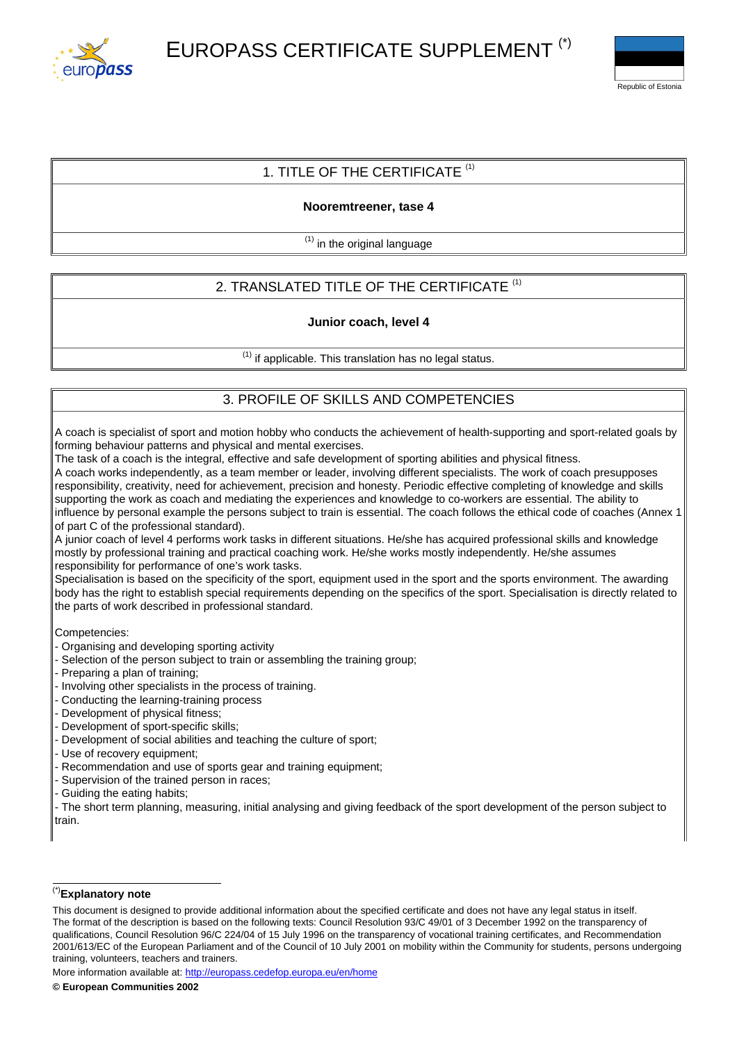



## 1. TITLE OF THE CERTIFICATE  $(1)$

## **Nooremtreener, tase 4**

 $<sup>(1)</sup>$  in the original language</sup>

# 2. TRANSLATED TITLE OF THE CERTIFICATE<sup>(1)</sup>

#### **Junior coach, level 4**

 $<sup>(1)</sup>$  if applicable. This translation has no legal status.</sup>

## 3. PROFILE OF SKILLS AND COMPETENCIES

A coach is specialist of sport and motion hobby who conducts the achievement of health-supporting and sport-related goals by forming behaviour patterns and physical and mental exercises.

The task of a coach is the integral, effective and safe development of sporting abilities and physical fitness.

A coach works independently, as a team member or leader, involving different specialists. The work of coach presupposes responsibility, creativity, need for achievement, precision and honesty. Periodic effective completing of knowledge and skills supporting the work as coach and mediating the experiences and knowledge to co-workers are essential. The ability to influence by personal example the persons subject to train is essential. The coach follows the ethical code of coaches (Annex 1 of part C of the professional standard).

A junior coach of level 4 performs work tasks in different situations. He/she has acquired professional skills and knowledge mostly by professional training and practical coaching work. He/she works mostly independently. He/she assumes responsibility for performance of one's work tasks.

Specialisation is based on the specificity of the sport, equipment used in the sport and the sports environment. The awarding body has the right to establish special requirements depending on the specifics of the sport. Specialisation is directly related to the parts of work described in professional standard.

Competencies:

- Organising and developing sporting activity
- Selection of the person subject to train or assembling the training group;
- Preparing a plan of training;
- Involving other specialists in the process of training.
- Conducting the learning-training process
- Development of physical fitness;
- Development of sport-specific skills;
- Development of social abilities and teaching the culture of sport;
- Use of recovery equipment;
- Recommendation and use of sports gear and training equipment;
- Supervision of the trained person in races;
- Guiding the eating habits;

- The short term planning, measuring, initial analysing and giving feedback of the sport development of the person subject to train.

#### (\*)**Explanatory note**

More information available at: <http://europass.cedefop.europa.eu/en/home>

This document is designed to provide additional information about the specified certificate and does not have any legal status in itself. The format of the description is based on the following texts: Council Resolution 93/C 49/01 of 3 December 1992 on the transparency of qualifications, Council Resolution 96/C 224/04 of 15 July 1996 on the transparency of vocational training certificates, and Recommendation 2001/613/EC of the European Parliament and of the Council of 10 July 2001 on mobility within the Community for students, persons undergoing training, volunteers, teachers and trainers.